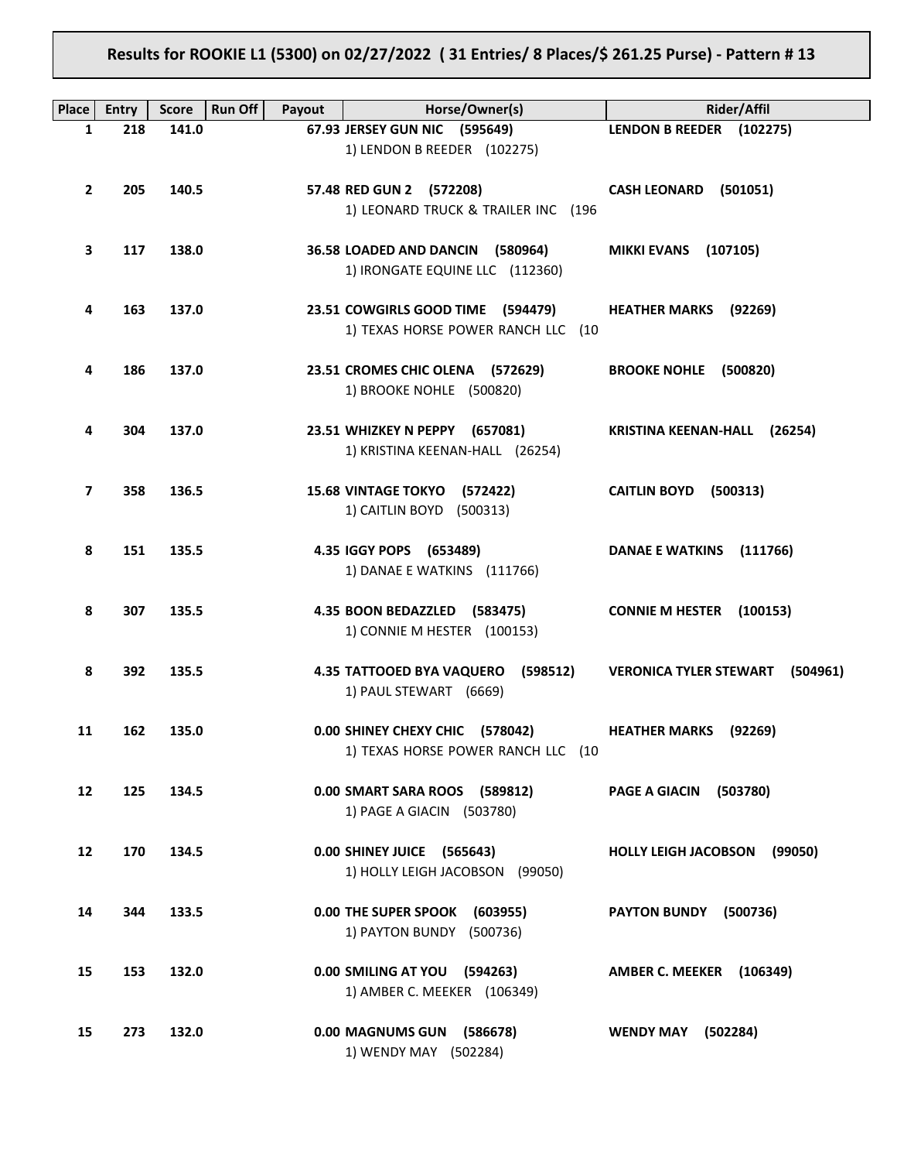# **Results for ROOKIE L1 (5300) on 02/27/2022 ( 31 Entries/ 8 Places/\$ 261.25 Purse) - Pattern # 13**

| Place        | <b>Entry</b> | <b>Score</b> | Run Off<br>Payout | Horse/Owner(s)                                                          | <b>Rider/Affil</b>                        |
|--------------|--------------|--------------|-------------------|-------------------------------------------------------------------------|-------------------------------------------|
| 1            | 218          | 141.0        |                   | 67.93 JERSEY GUN NIC (595649)                                           | LENDON B REEDER (102275)                  |
|              |              |              |                   | 1) LENDON B REEDER (102275)                                             |                                           |
| $\mathbf{2}$ | 205          | 140.5        |                   | 57.48 RED GUN 2 (572208)<br>1) LEONARD TRUCK & TRAILER INC (196         | <b>CASH LEONARD</b><br>(501051)           |
| З            | 117          | 138.0        |                   | 36.58 LOADED AND DANCIN<br>(580964)<br>1) IRONGATE EQUINE LLC (112360)  | <b>MIKKI EVANS</b><br>(107105)            |
| 4            | 163          | 137.0        |                   | 23.51 COWGIRLS GOOD TIME (594479)<br>1) TEXAS HORSE POWER RANCH LLC (10 | <b>HEATHER MARKS</b><br>(92269)           |
| 4            | 186          | 137.0        |                   | 23.51 CROMES CHIC OLENA (572629)<br>1) BROOKE NOHLE (500820)            | BROOKE NOHLE (500820)                     |
| 4            | 304          | 137.0        |                   | 23.51 WHIZKEY N PEPPY (657081)<br>1) KRISTINA KEENAN-HALL (26254)       | KRISTINA KEENAN-HALL (26254)              |
| 7            | 358          | 136.5        |                   | 15.68 VINTAGE TOKYO (572422)<br>1) CAITLIN BOYD (500313)                | <b>CAITLIN BOYD</b><br>(500313)           |
| 8            | 151          | 135.5        |                   | 4.35 IGGY POPS (653489)<br>1) DANAE E WATKINS (111766)                  | <b>DANAE E WATKINS</b><br>(111766)        |
| 8            | 307          | 135.5        |                   | 4.35 BOON BEDAZZLED (583475)<br>1) CONNIE M HESTER (100153)             | <b>CONNIE M HESTER</b><br>(100153)        |
| 8            | 392          | 135.5        |                   | <b>4.35 TATTOOED BYA VAQUERO</b><br>(598512)<br>1) PAUL STEWART (6669)  | <b>VERONICA TYLER STEWART</b><br>(504961) |
| 11           | 162          | 135.0        |                   | 0.00 SHINEY CHEXY CHIC (578042)<br>1) TEXAS HORSE POWER RANCH LLC (10   | <b>HEATHER MARKS</b><br>(92269)           |
| 12           | 125          | 134.5        |                   | 0.00 SMART SARA ROOS (589812)<br>1) PAGE A GIACIN (503780)              | PAGE A GIACIN (503780)                    |
| 12           | 170          | 134.5        |                   | 0.00 SHINEY JUICE (565643)<br>1) HOLLY LEIGH JACOBSON (99050)           | HOLLY LEIGH JACOBSON (99050)              |
| 14           | 344          | 133.5        |                   | 0.00 THE SUPER SPOOK<br>(603955)<br>1) PAYTON BUNDY (500736)            | <b>PAYTON BUNDY</b><br>(500736)           |
| 15           | 153          | 132.0        |                   | 0.00 SMILING AT YOU (594263)<br>1) AMBER C. MEEKER (106349)             | AMBER C. MEEKER (106349)                  |
| 15           | 273          | 132.0        |                   | 0.00 MAGNUMS GUN<br>(586678)<br>1) WENDY MAY (502284)                   | <b>WENDY MAY</b><br>(502284)              |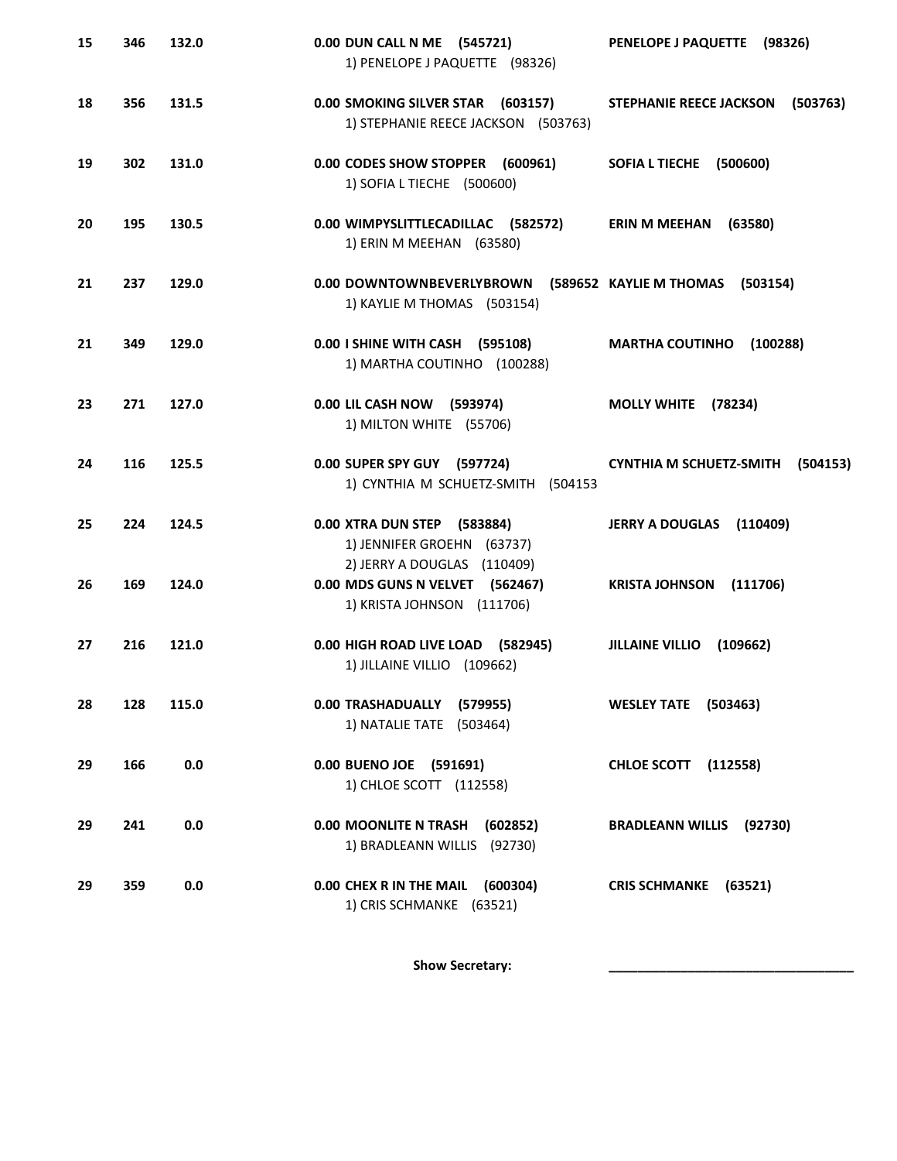| 15 | 346 | 132.0 | 0.00 DUN CALL N ME (545721)<br>1) PENELOPE J PAQUETTE (98326)                                | PENELOPE J PAQUETTE (98326)                |
|----|-----|-------|----------------------------------------------------------------------------------------------|--------------------------------------------|
| 18 | 356 | 131.5 | 0.00 SMOKING SILVER STAR (603157)<br>1) STEPHANIE REECE JACKSON (503763)                     | <b>STEPHANIE REECE JACKSON</b><br>(503763) |
| 19 | 302 | 131.0 | 0.00 CODES SHOW STOPPER (600961)<br>1) SOFIA L TIECHE (500600)                               | <b>SOFIA L TIECHE</b><br>(500600)          |
| 20 | 195 | 130.5 | 0.00 WIMPYSLITTLECADILLAC (582572)<br>1) ERIN M MEEHAN (63580)                               | <b>ERIN M MEEHAN</b><br>(63580)            |
| 21 | 237 | 129.0 | 0.00 DOWNTOWNBEVERLYBROWN (589652 KAYLIE M THOMAS (503154)<br>1) KAYLIE M THOMAS (503154)    |                                            |
| 21 | 349 | 129.0 | 0.00   SHINE WITH CASH (595108)<br>1) MARTHA COUTINHO (100288)                               | <b>MARTHA COUTINHO</b><br>(100288)         |
| 23 | 271 | 127.0 | 0.00 LIL CASH NOW (593974)<br>1) MILTON WHITE (55706)                                        | MOLLY WHITE (78234)                        |
| 24 | 116 | 125.5 | 0.00 SUPER SPY GUY (597724)<br>1) CYNTHIA M SCHUETZ-SMITH (504153                            | <b>CYNTHIA M SCHUETZ-SMITH</b><br>(504153) |
| 25 | 224 | 124.5 | 0.00 XTRA DUN STEP (583884)<br>1) JENNIFER GROEHN (63737)                                    | <b>JERRY A DOUGLAS</b><br>(110409)         |
| 26 | 169 | 124.0 | 2) JERRY A DOUGLAS (110409)<br>0.00 MDS GUNS N VELVET (562467)<br>1) KRISTA JOHNSON (111706) | <b>KRISTA JOHNSON</b><br>(111706)          |
| 27 | 216 | 121.0 | 0.00 HIGH ROAD LIVE LOAD (582945)<br>1) JILLAINE VILLIO (109662)                             | <b>JILLAINE VILLIO</b><br>(109662)         |
| 28 | 128 | 115.0 | 0.00 TRASHADUALLY (579955)<br>1) NATALIE TATE (503464)                                       | <b>WESLEY TATE (503463)</b>                |
| 29 | 166 | 0.0   | 0.00 BUENO JOE (591691)<br>1) CHLOE SCOTT (112558)                                           | <b>CHLOE SCOTT</b> (112558)                |
| 29 | 241 | 0.0   | 0.00 MOONLITE N TRASH<br>(602852)<br>1) BRADLEANN WILLIS (92730)                             | <b>BRADLEANN WILLIS</b><br>(92730)         |
| 29 | 359 | 0.0   | 0.00 CHEX R IN THE MAIL<br>(600304)<br>1) CRIS SCHMANKE (63521)                              | CRIS SCHMANKE (63521)                      |
|    |     |       |                                                                                              |                                            |

Show Secretary: